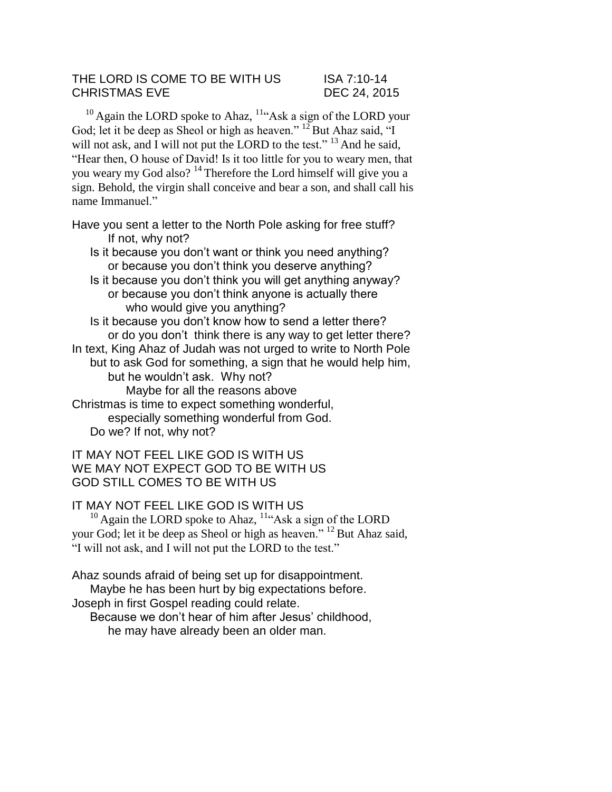### THE LORD IS COME TO BE WITH US ISA 7:10-14 CHRISTMAS EVE DEC 24, 2015

 $10$  Again the LORD spoke to Ahaz,  $11$ <sup>4</sup>Ask a sign of the LORD your God; let it be deep as Sheol or high as heaven."  $^{12}$ But Ahaz said, "I will not ask, and I will not put the LORD to the test."  $^{13}$  And he said, "Hear then, O house of David! Is it too little for you to weary men, that you weary my God also?<sup>14</sup> Therefore the Lord himself will give you a sign. Behold, the virgin shall conceive and bear a son, and shall call his name Immanuel."

Have you sent a letter to the North Pole asking for free stuff? If not, why not?

- Is it because you don't want or think you need anything? or because you don't think you deserve anything?
- Is it because you don't think you will get anything anyway? or because you don't think anyone is actually there who would give you anything?

Is it because you don't know how to send a letter there? or do you don't think there is any way to get letter there? In text, King Ahaz of Judah was not urged to write to North Pole but to ask God for something, a sign that he would help him, but he wouldn't ask. Why not? Maybe for all the reasons above

Christmas is time to expect something wonderful, especially something wonderful from God. Do we? If not, why not?

# IT MAY NOT FEEL LIKE GOD IS WITH US WE MAY NOT EXPECT GOD TO BE WITH US GOD STILL COMES TO BE WITH US

# IT MAY NOT FEEL LIKE GOD IS WITH US

 $10$  Again the LORD spoke to Ahaz,  $11$ "Ask a sign of the LORD your God; let it be deep as Sheol or high as heaven." <sup>12</sup> But Ahaz said, "I will not ask, and I will not put the LORD to the test."

Ahaz sounds afraid of being set up for disappointment. Maybe he has been hurt by big expectations before. Joseph in first Gospel reading could relate.

Because we don't hear of him after Jesus' childhood, he may have already been an older man.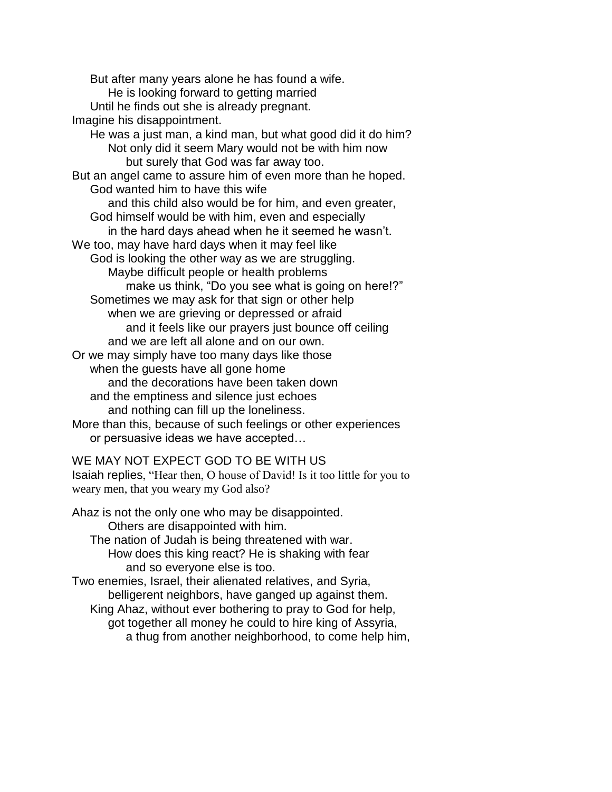But after many years alone he has found a wife. He is looking forward to getting married Until he finds out she is already pregnant. Imagine his disappointment. He was a just man, a kind man, but what good did it do him? Not only did it seem Mary would not be with him now but surely that God was far away too. But an angel came to assure him of even more than he hoped. God wanted him to have this wife and this child also would be for him, and even greater, God himself would be with him, even and especially in the hard days ahead when he it seemed he wasn't. We too, may have hard days when it may feel like God is looking the other way as we are struggling. Maybe difficult people or health problems make us think, "Do you see what is going on here!?" Sometimes we may ask for that sign or other help when we are grieving or depressed or afraid and it feels like our prayers just bounce off ceiling and we are left all alone and on our own. Or we may simply have too many days like those when the guests have all gone home and the decorations have been taken down and the emptiness and silence just echoes and nothing can fill up the loneliness. More than this, because of such feelings or other experiences or persuasive ideas we have accepted…

### WE MAY NOT EXPECT GOD TO BE WITH US

Isaiah replies, "Hear then, O house of David! Is it too little for you to weary men, that you weary my God also?

Ahaz is not the only one who may be disappointed. Others are disappointed with him. The nation of Judah is being threatened with war. How does this king react? He is shaking with fear and so everyone else is too. Two enemies, Israel, their alienated relatives, and Syria, belligerent neighbors, have ganged up against them. King Ahaz, without ever bothering to pray to God for help,

got together all money he could to hire king of Assyria, a thug from another neighborhood, to come help him,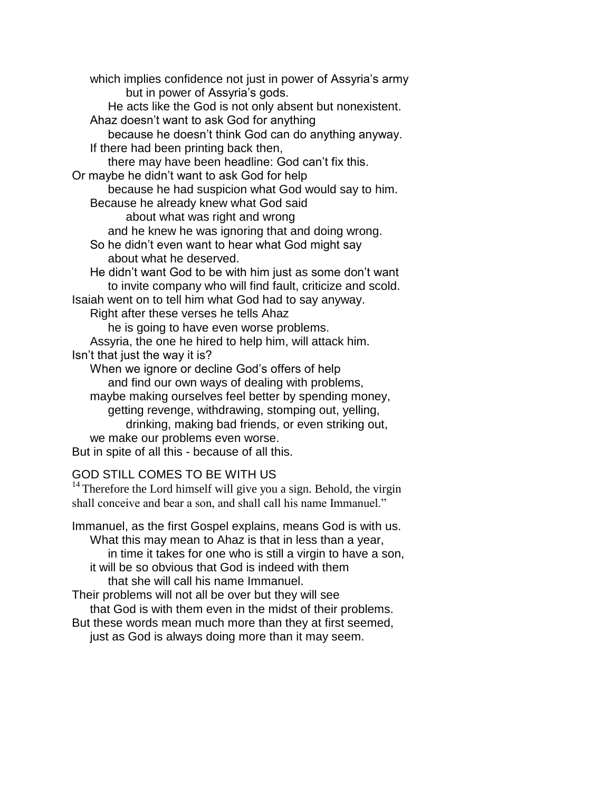which implies confidence not just in power of Assyria's army but in power of Assyria's gods. He acts like the God is not only absent but nonexistent. Ahaz doesn't want to ask God for anything because he doesn't think God can do anything anyway. If there had been printing back then, there may have been headline: God can't fix this. Or maybe he didn't want to ask God for help because he had suspicion what God would say to him. Because he already knew what God said about what was right and wrong and he knew he was ignoring that and doing wrong. So he didn't even want to hear what God might say about what he deserved. He didn't want God to be with him just as some don't want to invite company who will find fault, criticize and scold. Isaiah went on to tell him what God had to say anyway. Right after these verses he tells Ahaz he is going to have even worse problems. Assyria, the one he hired to help him, will attack him. Isn't that just the way it is? When we ignore or decline God's offers of help and find our own ways of dealing with problems, maybe making ourselves feel better by spending money, getting revenge, withdrawing, stomping out, yelling, drinking, making bad friends, or even striking out, we make our problems even worse. But in spite of all this - because of all this.

# GOD STILL COMES TO BE WITH US

 $14$  Therefore the Lord himself will give you a sign. Behold, the virgin shall conceive and bear a son, and shall call his name Immanuel."

Immanuel, as the first Gospel explains, means God is with us. What this may mean to Ahaz is that in less than a year, in time it takes for one who is still a virgin to have a son, it will be so obvious that God is indeed with them that she will call his name Immanuel. Their problems will not all be over but they will see that God is with them even in the midst of their problems. But these words mean much more than they at first seemed, just as God is always doing more than it may seem.